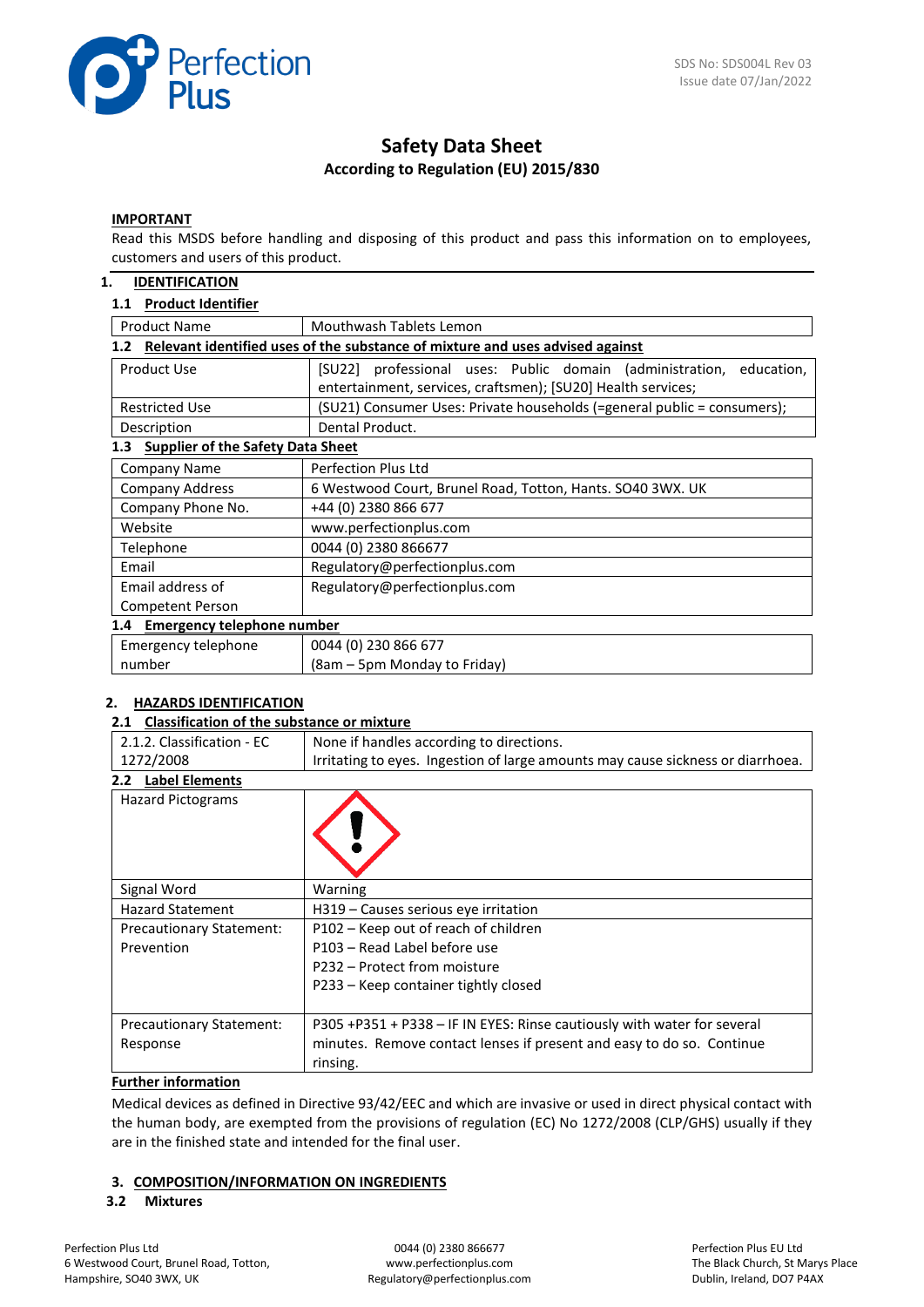

# **Safety Data Sheet According to Regulation (EU) 2015/830**

#### **IMPORTANT**

Read this MSDS before handling and disposing of this product and pass this information on to employees, customers and users of this product.

### **1. IDENTIFICATION**

#### **1.1 Product Identifier**

| <b>Product Name</b>                                                                               | Mouthwash Tablets Lemon                                                 |  |  |  |  |
|---------------------------------------------------------------------------------------------------|-------------------------------------------------------------------------|--|--|--|--|
| Relevant identified uses of the substance of mixture and uses advised against<br>1.2 <sub>2</sub> |                                                                         |  |  |  |  |
| Product Use                                                                                       | [SU22] professional uses: Public domain (administration,<br>education,  |  |  |  |  |
|                                                                                                   | entertainment, services, craftsmen); [SU20] Health services;            |  |  |  |  |
| <b>Restricted Use</b>                                                                             | (SU21) Consumer Uses: Private households (=general public = consumers); |  |  |  |  |
| Description                                                                                       | Dental Product.                                                         |  |  |  |  |
| <b>Supplier of the Safety Data Sheet</b><br>1.3                                                   |                                                                         |  |  |  |  |
| Company Name                                                                                      | Perfection Plus Ltd                                                     |  |  |  |  |
| <b>Company Address</b>                                                                            | 6 Westwood Court, Brunel Road, Totton, Hants. SO40 3WX. UK              |  |  |  |  |
| Company Phone No.                                                                                 | +44 (0) 2380 866 677                                                    |  |  |  |  |
| Website                                                                                           | www.perfectionplus.com                                                  |  |  |  |  |
| Telephone                                                                                         | 0044 (0) 2380 866677                                                    |  |  |  |  |
| Email                                                                                             | Regulatory@perfectionplus.com                                           |  |  |  |  |
| Email address of                                                                                  | Regulatory@perfectionplus.com                                           |  |  |  |  |
| <b>Competent Person</b>                                                                           |                                                                         |  |  |  |  |
| 1.4 Emergency telephone number                                                                    |                                                                         |  |  |  |  |
| Emergency telephone                                                                               | 0044 (0) 230 866 677                                                    |  |  |  |  |
| number                                                                                            | (8am – 5pm Monday to Friday)                                            |  |  |  |  |

### **2. HAZARDS IDENTIFICATION**

#### **2.1 Classification of the substance or mixture**

| 2.1.2. Classification - EC                                                                   | None if handles according to directions.                                          |  |  |  |
|----------------------------------------------------------------------------------------------|-----------------------------------------------------------------------------------|--|--|--|
| 1272/2008<br>Irritating to eyes. Ingestion of large amounts may cause sickness or diarrhoea. |                                                                                   |  |  |  |
| <b>Label Elements</b><br>2.2 <sub>2</sub>                                                    |                                                                                   |  |  |  |
| <b>Hazard Pictograms</b>                                                                     |                                                                                   |  |  |  |
| Signal Word                                                                                  | Warning                                                                           |  |  |  |
| <b>Hazard Statement</b>                                                                      | H319 – Causes serious eye irritation                                              |  |  |  |
| <b>Precautionary Statement:</b>                                                              | P102 – Keep out of reach of children                                              |  |  |  |
| Prevention                                                                                   | P103 - Read Label before use                                                      |  |  |  |
|                                                                                              | P232 – Protect from moisture                                                      |  |  |  |
|                                                                                              | P233 – Keep container tightly closed                                              |  |  |  |
| <b>Precautionary Statement:</b>                                                              | P305 +P351 + P338 - IF IN EYES: Rinse cautiously with water for several           |  |  |  |
| Response                                                                                     | minutes. Remove contact lenses if present and easy to do so. Continue<br>rinsing. |  |  |  |

## **Further information**

Medical devices as defined in Directive 93/42/EEC and which are invasive or used in direct physical contact with the human body, are exempted from the provisions of regulation (EC) No 1272/2008 (CLP/GHS) usually if they are in the finished state and intended for the final user.

### **3. COMPOSITION/INFORMATION ON INGREDIENTS**

#### **3.2 Mixtures**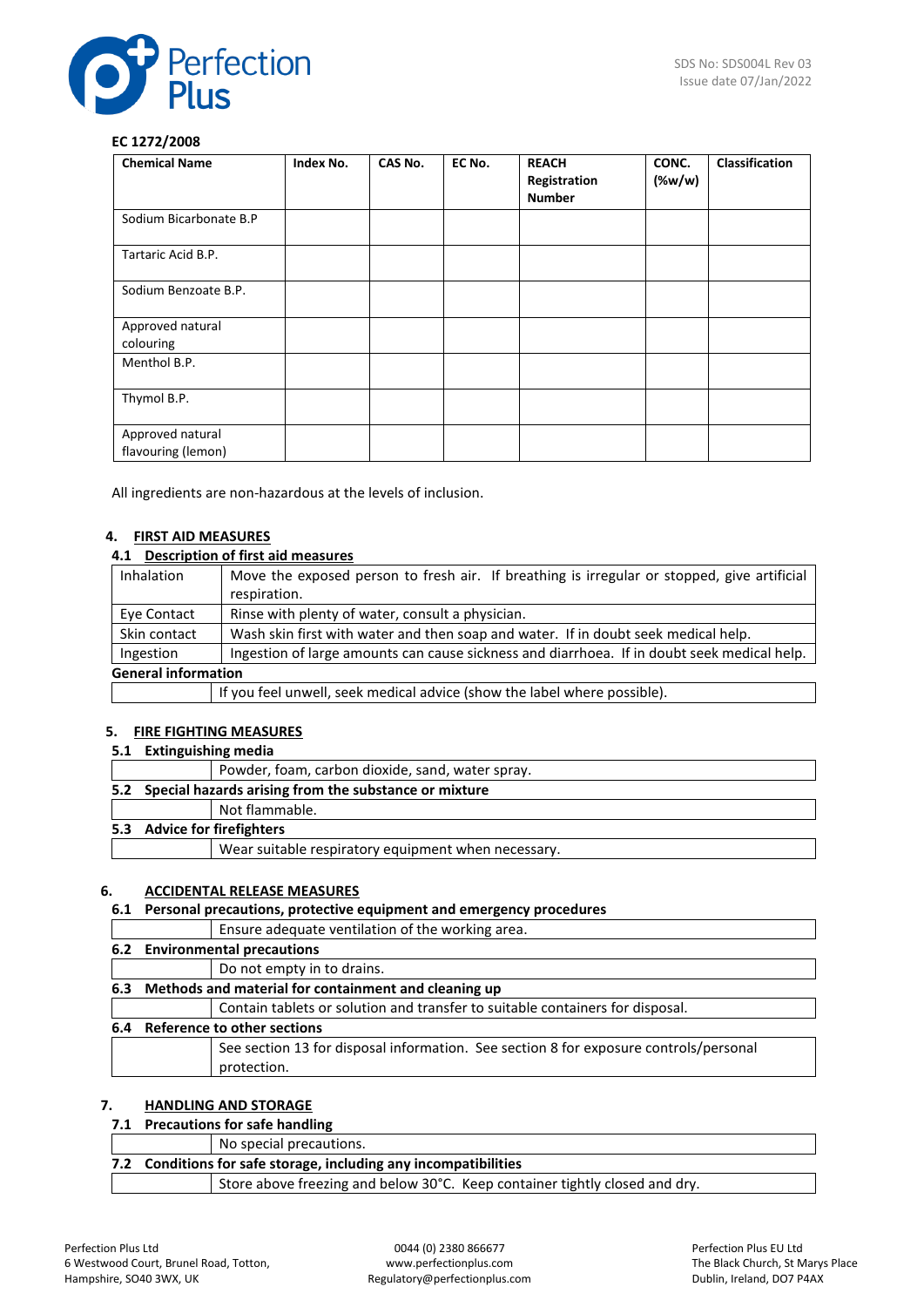

### **EC 1272/2008**

| <b>Chemical Name</b>                   | Index No. | CAS No. | EC No. | <b>REACH</b><br>Registration<br><b>Number</b> | CONC.<br>(% | <b>Classification</b> |
|----------------------------------------|-----------|---------|--------|-----------------------------------------------|-------------|-----------------------|
| Sodium Bicarbonate B.P                 |           |         |        |                                               |             |                       |
| Tartaric Acid B.P.                     |           |         |        |                                               |             |                       |
| Sodium Benzoate B.P.                   |           |         |        |                                               |             |                       |
| Approved natural<br>colouring          |           |         |        |                                               |             |                       |
| Menthol B.P.                           |           |         |        |                                               |             |                       |
| Thymol B.P.                            |           |         |        |                                               |             |                       |
| Approved natural<br>flavouring (lemon) |           |         |        |                                               |             |                       |

All ingredients are non-hazardous at the levels of inclusion.

## **4. FIRST AID MEASURES**

### **4.1 Description of first aid measures**

| <b>Inhalation</b> | Move the exposed person to fresh air. If breathing is irregular or stopped, give artificial |  |  |
|-------------------|---------------------------------------------------------------------------------------------|--|--|
|                   | respiration.                                                                                |  |  |
| Eye Contact       | Rinse with plenty of water, consult a physician.                                            |  |  |
| Skin contact      | Wash skin first with water and then soap and water. If in doubt seek medical help.          |  |  |
| Ingestion         | Ingestion of large amounts can cause sickness and diarrhoea. If in doubt seek medical help. |  |  |
|                   | <b>General information</b>                                                                  |  |  |
|                   | If you feel unwell, seek medical advice (show the label where possible).                    |  |  |

#### **5. FIRE FIGHTING MEASURES**

#### **5.1 Extinguishing media**

|  | Powder, foam, carbon dioxide, sand, water spray.          |
|--|-----------------------------------------------------------|
|  | 5.2 Special hazards arising from the substance or mixture |
|  | Not flammable.                                            |
|  | 5.3 Advice for firefighters                               |
|  | Wear suitable respiratory equipment when necessary.       |
|  |                                                           |

## **6. ACCIDENTAL RELEASE MEASURES**

## **6.1 Personal precautions, protective equipment and emergency procedures**

| Ensure adequate ventilation of the working area.                                      |
|---------------------------------------------------------------------------------------|
| 6.2 Environmental precautions                                                         |
| Do not empty in to drains.                                                            |
| 6.3 Methods and material for containment and cleaning up                              |
| Contain tablets or solution and transfer to suitable containers for disposal.         |
| 6.4 Reference to other sections                                                       |
| See section 13 for disposal information. See section 8 for exposure controls/personal |
| protection.                                                                           |

## **7. HANDLING AND STORAGE**

## **7.1 Precautions for safe handling**

|                                                                             | No special precautions. |  |  |
|-----------------------------------------------------------------------------|-------------------------|--|--|
| 7.2 Conditions for safe storage, including any incompatibilities            |                         |  |  |
| Store above freezing and below 30°C. Keep container tightly closed and dry. |                         |  |  |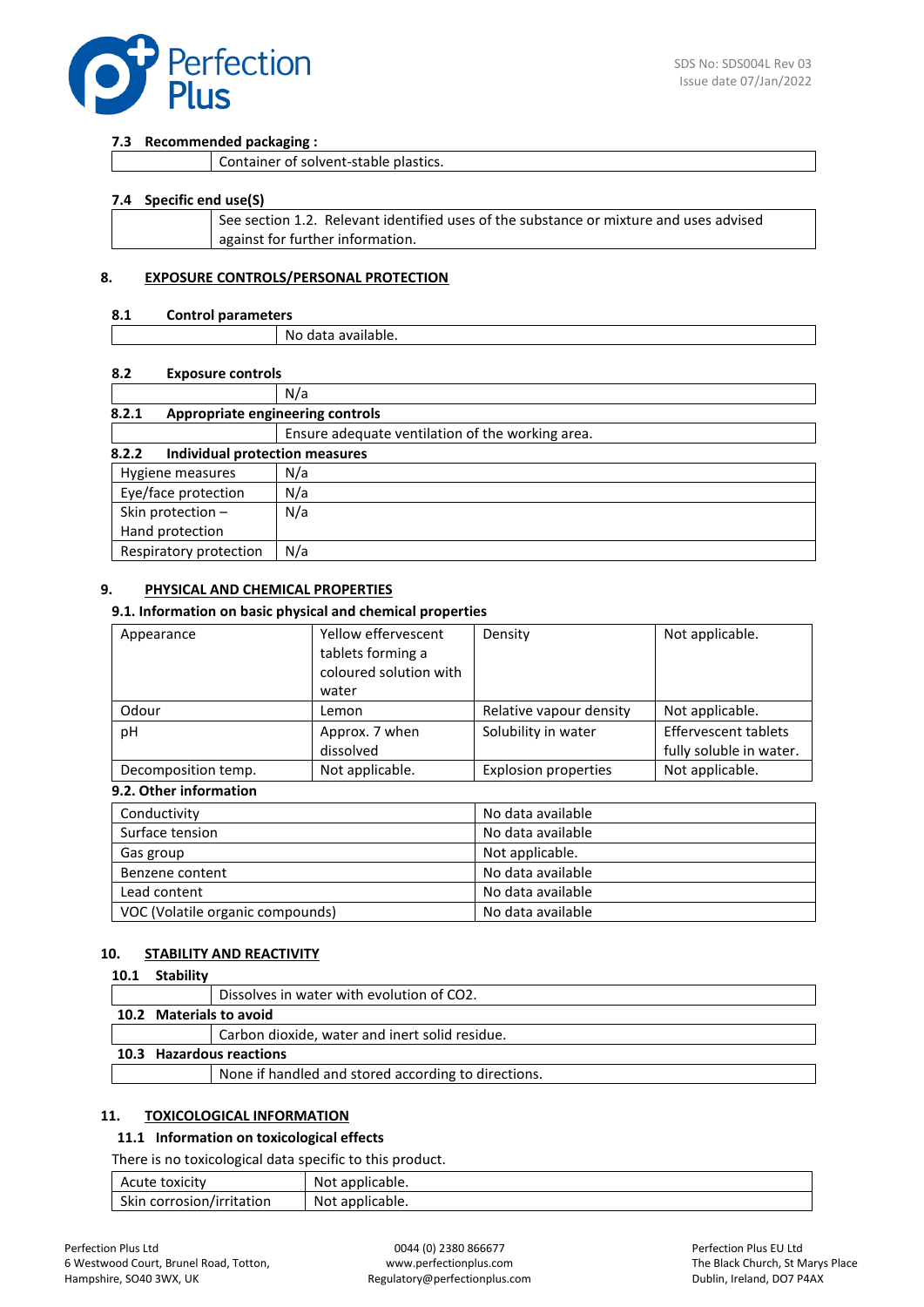

#### **7.3 Recommended packaging :**

| Container of solvent-stable plastics. |  |
|---------------------------------------|--|
|---------------------------------------|--|

#### **7.4 Specific end use(S)**

| See section 1.2. Relevant identified uses of the substance or mixture and uses advised |
|----------------------------------------------------------------------------------------|
| against for further information.                                                       |
|                                                                                        |

#### **8. EXPOSURE CONTROLS/PERSONAL PROTECTION**

#### **8.1 Control parameters**

| Νc<br>) data<br>' dvdildDie. |  |
|------------------------------|--|

#### **8.2 Exposure controls**

|                                           | N/a                                              |  |  |  |  |
|-------------------------------------------|--------------------------------------------------|--|--|--|--|
| Appropriate engineering controls<br>8.2.1 |                                                  |  |  |  |  |
|                                           | Ensure adequate ventilation of the working area. |  |  |  |  |
| 8.2.2<br>Individual protection measures   |                                                  |  |  |  |  |
| N/a<br>Hygiene measures                   |                                                  |  |  |  |  |
| Eye/face protection                       | N/a                                              |  |  |  |  |
| Skin protection -                         | N/a                                              |  |  |  |  |
| Hand protection                           |                                                  |  |  |  |  |
| Respiratory protection                    | N/a                                              |  |  |  |  |

#### **9. PHYSICAL AND CHEMICAL PROPERTIES**

#### **9.1. Information on basic physical and chemical properties**

| Appearance          | Yellow effervescent<br>tablets forming a<br>coloured solution with<br>water | Density                     | Not applicable.                                        |
|---------------------|-----------------------------------------------------------------------------|-----------------------------|--------------------------------------------------------|
| Odour               | Lemon                                                                       | Relative vapour density     | Not applicable.                                        |
| рH                  | Approx. 7 when<br>dissolved                                                 | Solubility in water         | <b>Effervescent tablets</b><br>fully soluble in water. |
| Decomposition temp. | Not applicable.                                                             | <b>Explosion properties</b> | Not applicable.                                        |

## **9.2. Other information**

| Conductivity                     | No data available |
|----------------------------------|-------------------|
| Surface tension                  | No data available |
| Gas group                        | Not applicable.   |
| Benzene content                  | No data available |
| Lead content                     | No data available |
| VOC (Volatile organic compounds) | No data available |

#### **10. STABILITY AND REACTIVITY**

#### **10.1 Stability**

|                          | Dissolves in water with evolution of CO2.           |
|--------------------------|-----------------------------------------------------|
|                          | 10.2 Materials to avoid                             |
|                          | Carbon dioxide, water and inert solid residue.      |
| 10.3 Hazardous reactions |                                                     |
|                          | None if handled and stored according to directions. |
|                          |                                                     |

#### **11. TOXICOLOGICAL INFORMATION**

#### **11.1 Information on toxicological effects**

There is no toxicological data specific to this product.

| Acute toxicity            | Not applicable. |
|---------------------------|-----------------|
| Skin corrosion/irritation | Not applicable. |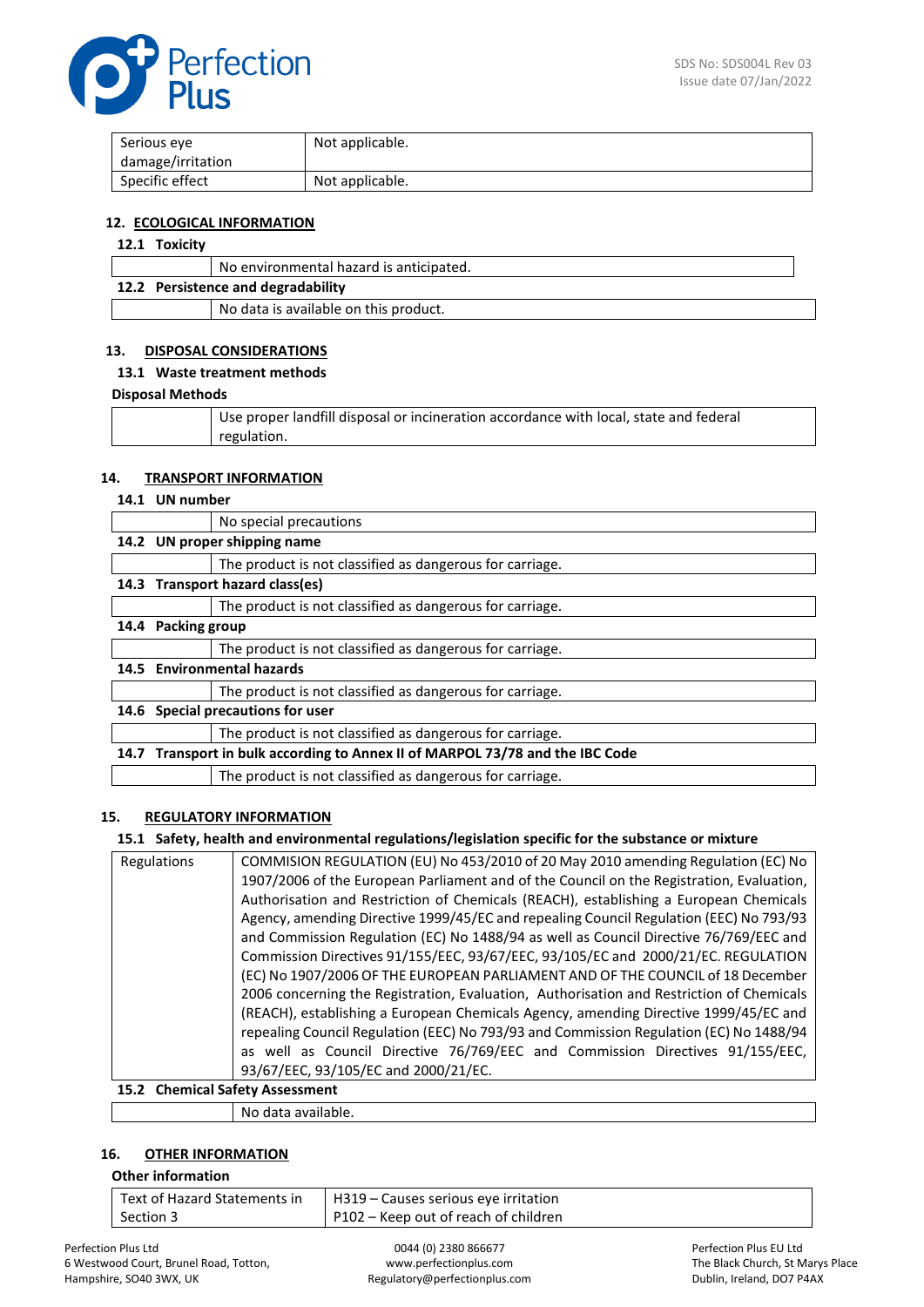

| Serious eye       | Not applicable. |
|-------------------|-----------------|
| damage/irritation |                 |
| Specific effect   | Not applicable. |

#### **12. ECOLOGICAL INFORMATION**

# **12.1 Toxicity**

|                                    | No environmental hazard is anticipated. |  |
|------------------------------------|-----------------------------------------|--|
| 12.2 Persistence and degradability |                                         |  |
|                                    | No data is available on this product.   |  |

### **13. DISPOSAL CONSIDERATIONS**

#### **13.1 Waste treatment methods**

#### **Disposal Methods**

| Use proper landfill disposal or incineration accordance with local, state and federal |
|---------------------------------------------------------------------------------------|
| regulation.                                                                           |

#### **14. TRANSPORT INFORMATION**

#### **14.1 UN number**

|      |                                                                          | No special precautions                                   |
|------|--------------------------------------------------------------------------|----------------------------------------------------------|
|      | 14.2 UN proper shipping name                                             |                                                          |
|      |                                                                          | The product is not classified as dangerous for carriage. |
|      | 14.3 Transport hazard class(es)                                          |                                                          |
|      |                                                                          | The product is not classified as dangerous for carriage. |
|      | 14.4 Packing group                                                       |                                                          |
|      |                                                                          | The product is not classified as dangerous for carriage. |
|      | 14.5 Environmental hazards                                               |                                                          |
|      |                                                                          | The product is not classified as dangerous for carriage. |
| 14.6 | Special precautions for user                                             |                                                          |
|      |                                                                          | The product is not classified as dangerous for carriage. |
| 14.7 | Transport in bulk according to Annex II of MARPOL 73/78 and the IBC Code |                                                          |
|      |                                                                          | The product is not classified as dangerous for carriage. |

### **15. REGULATORY INFORMATION**

### **15.1 Safety, health and environmental regulations/legislation specific for the substance or mixture**

| Regulations | COMMISION REGULATION (EU) No 453/2010 of 20 May 2010 amending Regulation (EC) No         |  |
|-------------|------------------------------------------------------------------------------------------|--|
|             | 1907/2006 of the European Parliament and of the Council on the Registration, Evaluation, |  |
|             | Authorisation and Restriction of Chemicals (REACH), establishing a European Chemicals    |  |
|             | Agency, amending Directive 1999/45/EC and repealing Council Regulation (EEC) No 793/93   |  |
|             | and Commission Regulation (EC) No 1488/94 as well as Council Directive 76/769/EEC and    |  |
|             | Commission Directives 91/155/EEC, 93/67/EEC, 93/105/EC and 2000/21/EC. REGULATION        |  |
|             | (EC) No 1907/2006 OF THE EUROPEAN PARLIAMENT AND OF THE COUNCIL of 18 December           |  |
|             | 2006 concerning the Registration, Evaluation, Authorisation and Restriction of Chemicals |  |
|             | (REACH), establishing a European Chemicals Agency, amending Directive 1999/45/EC and     |  |
|             | repealing Council Regulation (EEC) No 793/93 and Commission Regulation (EC) No 1488/94   |  |
|             | as well as Council Directive 76/769/EEC and Commission Directives 91/155/EEC,            |  |
|             | 93/67/EEC, 93/105/EC and 2000/21/EC.                                                     |  |
|             | 15.2. Chamical Safety Accordment                                                         |  |

# **15.2 Chemical Safety Assessment**

No data available.

## **16. OTHER INFORMATION**

### **Other information**

| Text of Hazard Statements in | H319 – Causes serious eye irritation |
|------------------------------|--------------------------------------|
| Section 3                    | P102 – Keep out of reach of children |